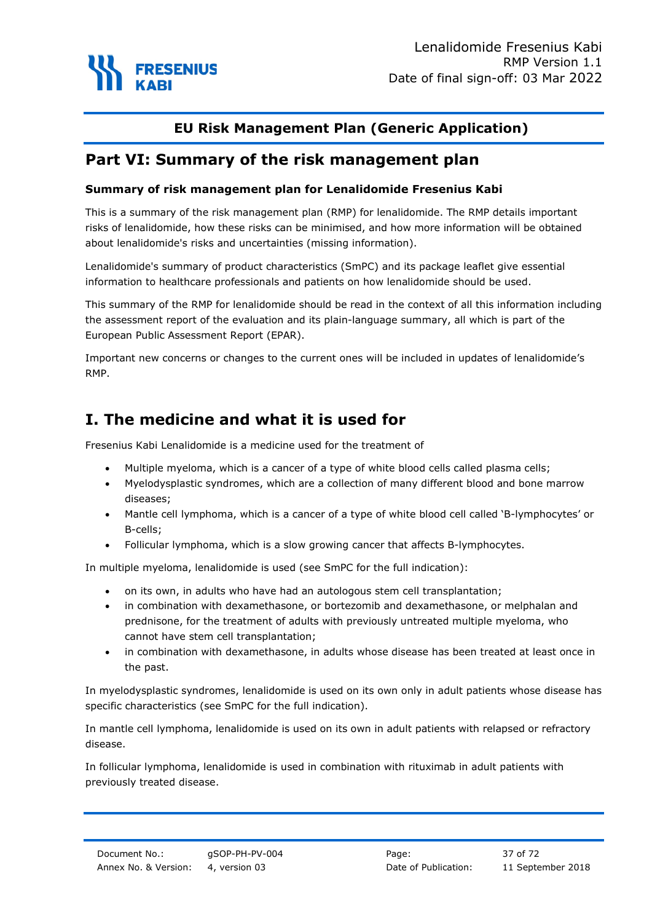

## **Part VI: Summary of the risk management plan**

#### **Summary of risk management plan for Lenalidomide Fresenius Kabi**

This is a summary of the risk management plan (RMP) for lenalidomide. The RMP details important risks of lenalidomide, how these risks can be minimised, and how more information will be obtained about lenalidomide's risks and uncertainties (missing information).

Lenalidomide's summary of product characteristics (SmPC) and its package leaflet give essential information to healthcare professionals and patients on how lenalidomide should be used.

This summary of the RMP for lenalidomide should be read in the context of all this information including the assessment report of the evaluation and its plain-language summary, all which is part of the European Public Assessment Report (EPAR).

Important new concerns or changes to the current ones will be included in updates of lenalidomide's RMP.

# **I. The medicine and what it is used for**

Fresenius Kabi Lenalidomide is a medicine used for the treatment of

- Multiple myeloma, which is a cancer of a type of white blood cells called plasma cells;
- Myelodysplastic syndromes, which are a collection of many different blood and bone marrow diseases;
- Mantle cell lymphoma, which is a cancer of a type of white blood cell called 'B-lymphocytes' or B-cells;
- Follicular lymphoma, which is a slow growing cancer that affects B-lymphocytes.

In multiple myeloma, lenalidomide is used (see SmPC for the full indication):

- on its own, in adults who have had an autologous stem cell transplantation;
- in combination with dexamethasone, or bortezomib and dexamethasone, or melphalan and prednisone, for the treatment of adults with previously untreated multiple myeloma, who cannot have stem cell transplantation;
- in combination with dexamethasone, in adults whose disease has been treated at least once in the past.

In myelodysplastic syndromes, lenalidomide is used on its own only in adult patients whose disease has specific characteristics (see SmPC for the full indication).

In mantle cell lymphoma, lenalidomide is used on its own in adult patients with relapsed or refractory disease.

In follicular lymphoma, lenalidomide is used in combination with rituximab in adult patients with previously treated disease.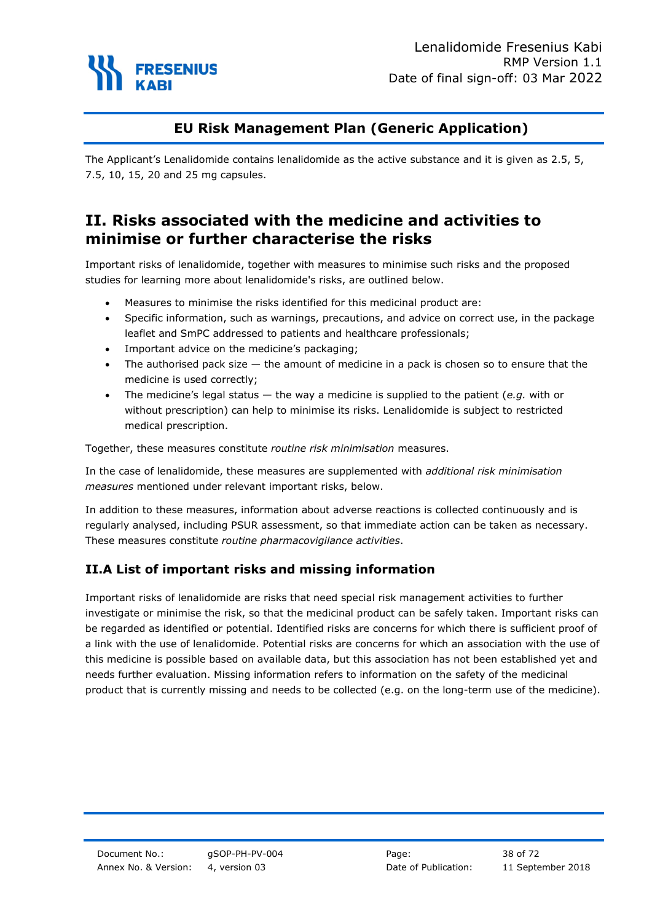

The Applicant's Lenalidomide contains lenalidomide as the active substance and it is given as 2.5, 5, 7.5, 10, 15, 20 and 25 mg capsules.

# **II. Risks associated with the medicine and activities to minimise or further characterise the risks**

Important risks of lenalidomide, together with measures to minimise such risks and the proposed studies for learning more about lenalidomide's risks, are outlined below.

- Measures to minimise the risks identified for this medicinal product are:
- Specific information, such as warnings, precautions, and advice on correct use, in the package leaflet and SmPC addressed to patients and healthcare professionals;
- Important advice on the medicine's packaging;
- The authorised pack size the amount of medicine in a pack is chosen so to ensure that the medicine is used correctly;
- The medicine's legal status the way a medicine is supplied to the patient (*e.g.* with or without prescription) can help to minimise its risks. Lenalidomide is subject to restricted medical prescription.

Together, these measures constitute *routine risk minimisation* measures.

In the case of lenalidomide, these measures are supplemented with *additional risk minimisation measures* mentioned under relevant important risks, below.

In addition to these measures, information about adverse reactions is collected continuously and is regularly analysed, including PSUR assessment, so that immediate action can be taken as necessary. These measures constitute *routine pharmacovigilance activities*.

### **II.A List of important risks and missing information**

Important risks of lenalidomide are risks that need special risk management activities to further investigate or minimise the risk, so that the medicinal product can be safely taken. Important risks can be regarded as identified or potential. Identified risks are concerns for which there is sufficient proof of a link with the use of lenalidomide. Potential risks are concerns for which an association with the use of this medicine is possible based on available data, but this association has not been established yet and needs further evaluation. Missing information refers to information on the safety of the medicinal product that is currently missing and needs to be collected (e.g. on the long-term use of the medicine).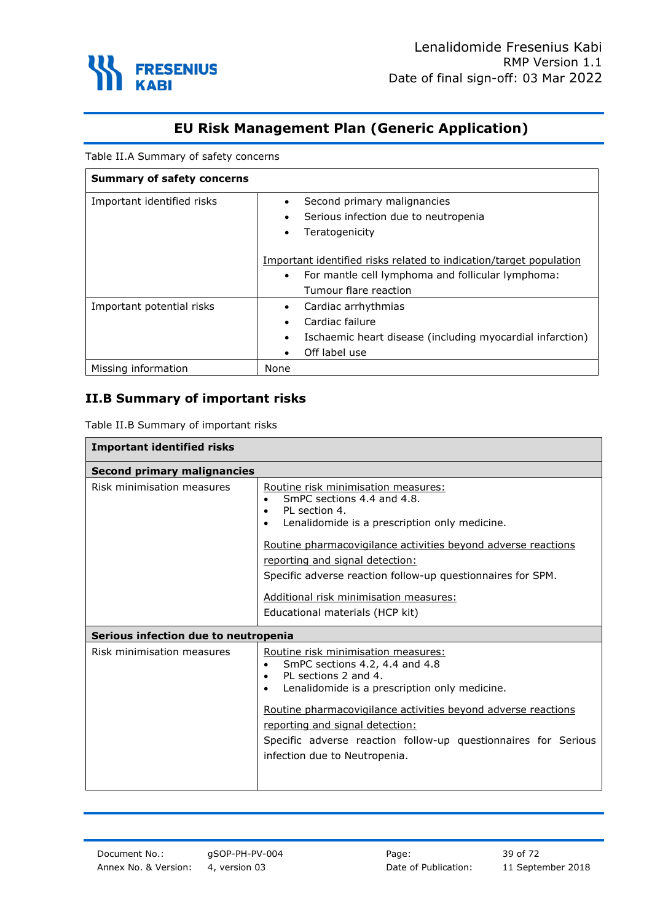

Table II.A Summary of safety concerns

| <b>Summary of safety concerns</b> |                                                                                                                                                               |
|-----------------------------------|---------------------------------------------------------------------------------------------------------------------------------------------------------------|
| Important identified risks        | Second primary malignancies<br>Serious infection due to neutropenia<br>$\bullet$<br>Teratogenicity                                                            |
|                                   | Important identified risks related to indication/target population<br>For mantle cell lymphoma and follicular lymphoma:<br>$\bullet$<br>Tumour flare reaction |
| Important potential risks         | Cardiac arrhythmias<br>Cardiac failure<br>Ischaemic heart disease (including myocardial infarction)<br>$\bullet$<br>Off label use                             |
| Missing information               | None                                                                                                                                                          |

### **II.B Summary of important risks**

Table II.B Summary of important risks

| <b>Important identified risks</b>    |                                                                                                                                                                                                                                                                                                                                                                                                  |  |
|--------------------------------------|--------------------------------------------------------------------------------------------------------------------------------------------------------------------------------------------------------------------------------------------------------------------------------------------------------------------------------------------------------------------------------------------------|--|
| <b>Second primary malignancies</b>   |                                                                                                                                                                                                                                                                                                                                                                                                  |  |
| Risk minimisation measures           | Routine risk minimisation measures:<br>SmPC sections 4.4 and 4.8.<br>PL section 4.<br>$\bullet$<br>Lenalidomide is a prescription only medicine.<br>Routine pharmacovigilance activities beyond adverse reactions<br>reporting and signal detection:<br>Specific adverse reaction follow-up questionnaires for SPM.<br>Additional risk minimisation measures:<br>Educational materials (HCP kit) |  |
| Serious infection due to neutropenia |                                                                                                                                                                                                                                                                                                                                                                                                  |  |
| Risk minimisation measures           | Routine risk minimisation measures:<br>SmPC sections 4.2, 4.4 and 4.8<br>$\bullet$<br>PL sections 2 and 4.<br>$\bullet$<br>Lenalidomide is a prescription only medicine.<br>$\bullet$<br>Routine pharmacovigilance activities beyond adverse reactions<br>reporting and signal detection:<br>Specific adverse reaction follow-up questionnaires for Serious<br>infection due to Neutropenia.     |  |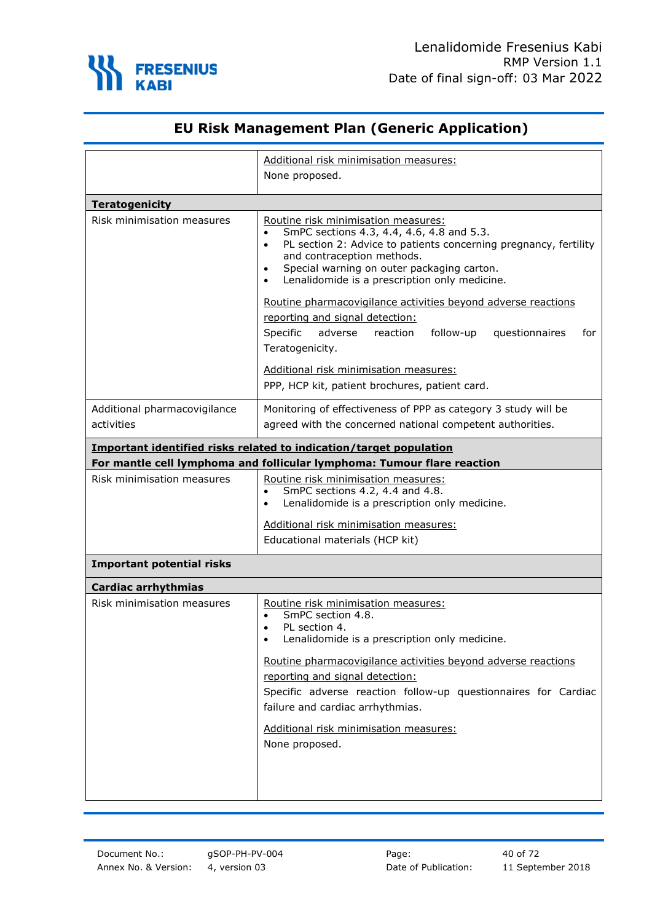

|                                                                                                                                               | Additional risk minimisation measures:<br>None proposed.                                                                                                                                                                                                                                                                                                                                                                                                                                                                                                                                                             |  |
|-----------------------------------------------------------------------------------------------------------------------------------------------|----------------------------------------------------------------------------------------------------------------------------------------------------------------------------------------------------------------------------------------------------------------------------------------------------------------------------------------------------------------------------------------------------------------------------------------------------------------------------------------------------------------------------------------------------------------------------------------------------------------------|--|
| <b>Teratogenicity</b>                                                                                                                         |                                                                                                                                                                                                                                                                                                                                                                                                                                                                                                                                                                                                                      |  |
| Risk minimisation measures                                                                                                                    | Routine risk minimisation measures:<br>SmPC sections 4.3, 4.4, 4.6, 4.8 and 5.3.<br>PL section 2: Advice to patients concerning pregnancy, fertility<br>$\bullet$<br>and contraception methods.<br>Special warning on outer packaging carton.<br>$\bullet$<br>Lenalidomide is a prescription only medicine.<br>$\bullet$<br>Routine pharmacovigilance activities beyond adverse reactions<br>reporting and signal detection:<br>Specific<br>follow-up<br>adverse<br>questionnaires<br>reaction<br>for<br>Teratogenicity.<br>Additional risk minimisation measures:<br>PPP, HCP kit, patient brochures, patient card. |  |
| Additional pharmacovigilance<br>activities                                                                                                    | Monitoring of effectiveness of PPP as category 3 study will be<br>agreed with the concerned national competent authorities.                                                                                                                                                                                                                                                                                                                                                                                                                                                                                          |  |
| Important identified risks related to indication/target population<br>For mantle cell lymphoma and follicular lymphoma: Tumour flare reaction |                                                                                                                                                                                                                                                                                                                                                                                                                                                                                                                                                                                                                      |  |
| Risk minimisation measures                                                                                                                    | Routine risk minimisation measures:<br>SmPC sections 4.2, 4.4 and 4.8.<br>$\bullet$<br>Lenalidomide is a prescription only medicine.<br>$\bullet$<br>Additional risk minimisation measures:<br>Educational materials (HCP kit)                                                                                                                                                                                                                                                                                                                                                                                       |  |
| <b>Important potential risks</b>                                                                                                              |                                                                                                                                                                                                                                                                                                                                                                                                                                                                                                                                                                                                                      |  |
| <b>Cardiac arrhythmias</b>                                                                                                                    |                                                                                                                                                                                                                                                                                                                                                                                                                                                                                                                                                                                                                      |  |
| Risk minimisation measures                                                                                                                    | Routine risk minimisation measures:<br>SmPC section 4.8.<br>PL section 4.<br>Lenalidomide is a prescription only medicine.<br>Routine pharmacovigilance activities beyond adverse reactions<br>reporting and signal detection:<br>Specific adverse reaction follow-up questionnaires for Cardiac<br>failure and cardiac arrhythmias.<br>Additional risk minimisation measures:<br>None proposed.                                                                                                                                                                                                                     |  |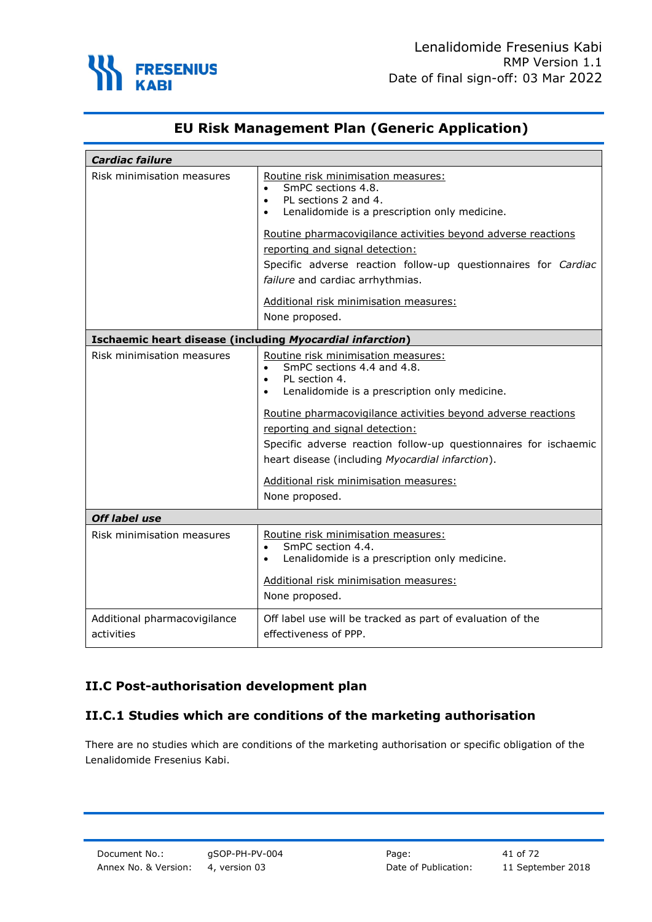

| <b>Cardiac failure</b>                                           |                                                                                                                                                                                                                                                                                                                                                                                                                                                                    |  |
|------------------------------------------------------------------|--------------------------------------------------------------------------------------------------------------------------------------------------------------------------------------------------------------------------------------------------------------------------------------------------------------------------------------------------------------------------------------------------------------------------------------------------------------------|--|
| Risk minimisation measures                                       | Routine risk minimisation measures:<br>SmPC sections 4.8.<br>PL sections 2 and 4.<br>$\bullet$<br>Lenalidomide is a prescription only medicine.                                                                                                                                                                                                                                                                                                                    |  |
|                                                                  | Routine pharmacovigilance activities beyond adverse reactions<br>reporting and signal detection:<br>Specific adverse reaction follow-up questionnaires for Cardiac<br>failure and cardiac arrhythmias.                                                                                                                                                                                                                                                             |  |
|                                                                  | Additional risk minimisation measures:<br>None proposed.                                                                                                                                                                                                                                                                                                                                                                                                           |  |
| <b>Ischaemic heart disease (including Myocardial infarction)</b> |                                                                                                                                                                                                                                                                                                                                                                                                                                                                    |  |
| Risk minimisation measures                                       | Routine risk minimisation measures:<br>SmPC sections 4.4 and 4.8.<br>$\bullet$<br>PL section 4.<br>$\bullet$<br>Lenalidomide is a prescription only medicine.<br>$\bullet$<br>Routine pharmacovigilance activities beyond adverse reactions<br>reporting and signal detection:<br>Specific adverse reaction follow-up questionnaires for ischaemic<br>heart disease (including Myocardial infarction).<br>Additional risk minimisation measures:<br>None proposed. |  |
| <b>Off label use</b>                                             |                                                                                                                                                                                                                                                                                                                                                                                                                                                                    |  |
| Risk minimisation measures                                       | Routine risk minimisation measures:<br>SmPC section 4.4.<br>$\bullet$<br>Lenalidomide is a prescription only medicine.<br>$\bullet$<br>Additional risk minimisation measures:<br>None proposed.                                                                                                                                                                                                                                                                    |  |
| Additional pharmacovigilance<br>activities                       | Off label use will be tracked as part of evaluation of the<br>effectiveness of PPP.                                                                                                                                                                                                                                                                                                                                                                                |  |

### **II.C Post-authorisation development plan**

### **II.C.1 Studies which are conditions of the marketing authorisation**

There are no studies which are conditions of the marketing authorisation or specific obligation of the Lenalidomide Fresenius Kabi.